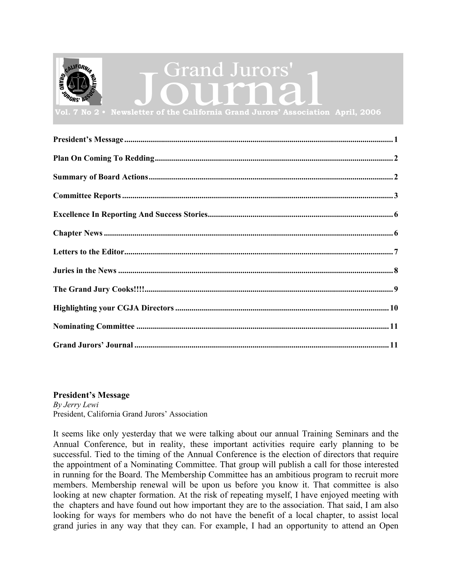<span id="page-0-0"></span>

### **President's Message**

*By Jerry Lewi* President, California Grand Jurors' Association

It seems like only yesterday that we were talking about our annual Training Seminars and the Annual Conference, but in reality, these important activities require early planning to be successful. Tied to the timing of the Annual Conference is the election of directors that require the appointment of a Nominating Committee. That group will publish a call for those interested in running for the Board. The Membership Committee has an ambitious program to recruit more members. Membership renewal will be upon us before you know it. That committee is also looking at new chapter formation. At the risk of repeating myself, I have enjoyed meeting with the chapters and have found out how important they are to the association. That said, I am also looking for ways for members who do not have the benefit of a local chapter, to assist local grand juries in any way that they can. For example, I had an opportunity to attend an Open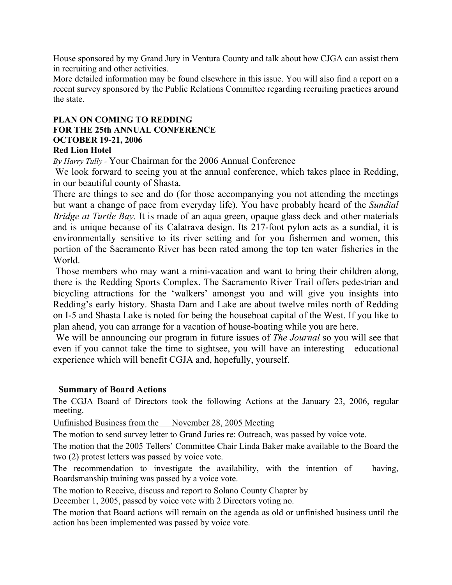<span id="page-1-0"></span>House sponsored by my Grand Jury in Ventura County and talk about how CJGA can assist them in recruiting and other activities.

More detailed information may be found elsewhere in this issue. You will also find a report on a recent survey sponsored by the Public Relations Committee regarding recruiting practices around the state.

### **PLAN ON COMING TO REDDING FOR THE 25th ANNUAL CONFERENCE OCTOBER 19-21, 2006 Red Lion Hotel**

*By Harry Tully -* Your Chairman for the 2006 Annual Conference

We look forward to seeing you at the annual conference, which takes place in Redding, in our beautiful county of Shasta.

There are things to see and do (for those accompanying you not attending the meetings but want a change of pace from everyday life). You have probably heard of the *Sundial Bridge at Turtle Bay*. It is made of an aqua green, opaque glass deck and other materials and is unique because of its Calatrava design. Its 217-foot pylon acts as a sundial, it is environmentally sensitive to its river setting and for you fishermen and women, this portion of the Sacramento River has been rated among the top ten water fisheries in the World.

Those members who may want a mini-vacation and want to bring their children along, there is the Redding Sports Complex. The Sacramento River Trail offers pedestrian and bicycling attractions for the 'walkers' amongst you and will give you insights into Redding's early history. Shasta Dam and Lake are about twelve miles north of Redding on I-5 and Shasta Lake is noted for being the houseboat capital of the West. If you like to plan ahead, you can arrange for a vacation of house-boating while you are here.

We will be announcing our program in future issues of *The Journal* so you will see that even if you cannot take the time to sightsee, you will have an interesting educational experience which will benefit CGJA and, hopefully, yourself.

### **Summary of Board Actions**

The CGJA Board of Directors took the following Actions at the January 23, 2006, regular meeting.

Unfinished Business from the November 28, 2005 Meeting

The motion to send survey letter to Grand Juries re: Outreach, was passed by voice vote.

The motion that the 2005 Tellers' Committee Chair Linda Baker make available to the Board the two (2) protest letters was passed by voice vote.

The recommendation to investigate the availability, with the intention of having, Boardsmanship training was passed by a voice vote.

The motion to Receive, discuss and report to Solano County Chapter by

December 1, 2005, passed by voice vote with 2 Directors voting no.

The motion that Board actions will remain on the agenda as old or unfinished business until the action has been implemented was passed by voice vote.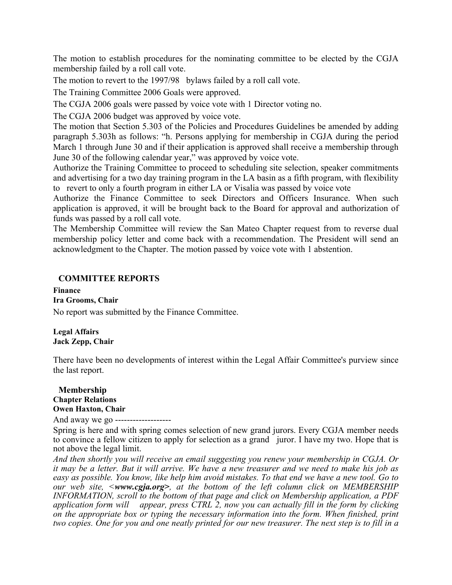<span id="page-2-0"></span>The motion to establish procedures for the nominating committee to be elected by the CGJA membership failed by a roll call vote.

The motion to revert to the 1997/98 bylaws failed by a roll call vote.

The Training Committee 2006 Goals were approved.

The CGJA 2006 goals were passed by voice vote with 1 Director voting no.

The CGJA 2006 budget was approved by voice vote.

The motion that Section 5.303 of the Policies and Procedures Guidelines be amended by adding paragraph 5.303h as follows: "h. Persons applying for membership in CGJA during the period March 1 through June 30 and if their application is approved shall receive a membership through June 30 of the following calendar year," was approved by voice vote.

Authorize the Training Committee to proceed to scheduling site selection, speaker commitments and advertising for a two day training program in the LA basin as a fifth program, with flexibility to revert to only a fourth program in either LA or Visalia was passed by voice vote

Authorize the Finance Committee to seek Directors and Officers Insurance. When such application is approved, it will be brought back to the Board for approval and authorization of funds was passed by a roll call vote.

The Membership Committee will review the San Mateo Chapter request from to reverse dual membership policy letter and come back with a recommendation. The President will send an acknowledgment to the Chapter. The motion passed by voice vote with 1 abstention.

### **COMMITTEE REPORTS**

**Finance Ira Grooms, Chair**  No report was submitted by the Finance Committee.

**Legal Affairs Jack Zepp, Chair** 

There have been no developments of interest within the Legal Affair Committee's purview since the last report.

### **Membership Chapter Relations Owen Haxton, Chair**

And away we go -------------------

Spring is here and with spring comes selection of new grand jurors. Every CGJA member needs to convince a fellow citizen to apply for selection as a grand juror. I have my two. Hope that is not above the legal limit.

*And then shortly you will receive an email suggesting you renew your membership in CGJA. Or it may be a letter. But it will arrive. We have a new treasurer and we need to make his job as easy as possible. You know, like help him avoid mistakes. To that end we have a new tool. Go to our web site, <www.cgja.org>, at the bottom of the left column click on MEMBERSHIP INFORMATION, scroll to the bottom of that page and click on Membership application, a PDF application form will appear, press CTRL 2, now you can actually fill in the form by clicking on the appropriate box or typing the necessary information into the form. When finished, print two copies. One for you and one neatly printed for our new treasurer. The next step is to fill in a*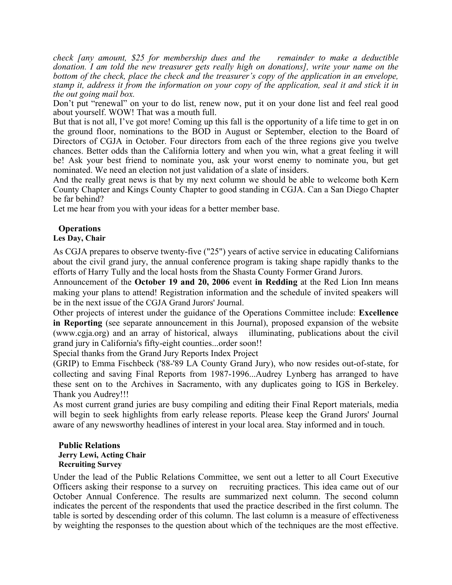*check [any amount, \$25 for membership dues and the remainder to make a deductible donation. I am told the new treasurer gets really high on donations], write your name on the bottom of the check, place the check and the treasurer's copy of the application in an envelope, stamp it, address it from the information on your copy of the application, seal it and stick it in the out going mail box.* 

Don't put "renewal" on your to do list, renew now, put it on your done list and feel real good about yourself. WOW! That was a mouth full.

But that is not all, I've got more! Coming up this fall is the opportunity of a life time to get in on the ground floor, nominations to the BOD in August or September, election to the Board of Directors of CGJA in October. Four directors from each of the three regions give you twelve chances. Better odds than the California lottery and when you win, what a great feeling it will be! Ask your best friend to nominate you, ask your worst enemy to nominate you, but get nominated. We need an election not just validation of a slate of insiders.

And the really great news is that by my next column we should be able to welcome both Kern County Chapter and Kings County Chapter to good standing in CGJA. Can a San Diego Chapter be far behind?

Let me hear from you with your ideas for a better member base.

### **Operations**

### **Les Day, Chair**

As CGJA prepares to observe twenty-five ("25") years of active service in educating Californians about the civil grand jury, the annual conference program is taking shape rapidly thanks to the efforts of Harry Tully and the local hosts from the Shasta County Former Grand Jurors.

Announcement of the **October 19 and 20, 2006** event **in Redding** at the Red Lion Inn means making your plans to attend! Registration information and the schedule of invited speakers will be in the next issue of the CGJA Grand Jurors' Journal.

Other projects of interest under the guidance of the Operations Committee include: **Excellence in Reporting** (see separate announcement in this Journal), proposed expansion of the website (www.cgja.org) and an array of historical, always illuminating, publications about the civil grand jury in California's fifty-eight counties...order soon!!

Special thanks from the Grand Jury Reports Index Project

(GRIP) to Emma Fischbeck ('88-'89 LA County Grand Jury), who now resides out-of-state, for collecting and saving Final Reports from 1987-1996...Audrey Lynberg has arranged to have these sent on to the Archives in Sacramento, with any duplicates going to IGS in Berkeley. Thank you Audrey!!!

As most current grand juries are busy compiling and editing their Final Report materials, media will begin to seek highlights from early release reports. Please keep the Grand Jurors' Journal aware of any newsworthy headlines of interest in your local area. Stay informed and in touch.

#### **Public Relations Jerry Lewi, Acting Chair Recruiting Survey**

Under the lead of the Public Relations Committee, we sent out a letter to all Court Executive Officers asking their response to a survey on recruiting practices. This idea came out of our October Annual Conference. The results are summarized next column. The second column indicates the percent of the respondents that used the practice described in the first column. The table is sorted by descending order of this column. The last column is a measure of effectiveness by weighting the responses to the question about which of the techniques are the most effective.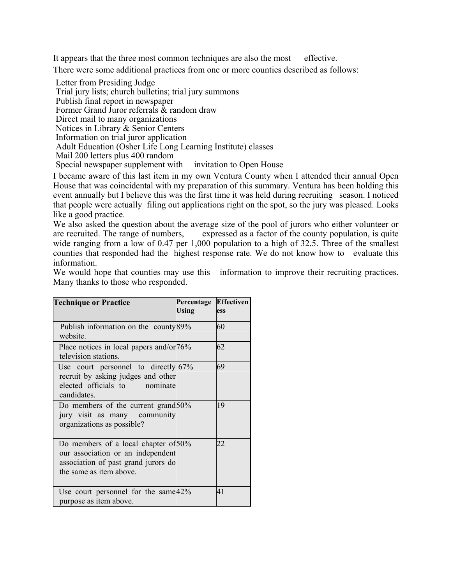It appears that the three most common techniques are also the most effective.

There were some additional practices from one or more counties described as follows:

Letter from Presiding Judge Trial jury lists; church bulletins; trial jury summons Publish final report in newspaper Former Grand Juror referrals & random draw Direct mail to many organizations Notices in Library & Senior Centers Information on trial juror application Adult Education (Osher Life Long Learning Institute) classes Mail 200 letters plus 400 random Special newspaper supplement with invitation to Open House

I became aware of this last item in my own Ventura County when I attended their annual Open House that was coincidental with my preparation of this summary. Ventura has been holding this event annually but I believe this was the first time it was held during recruiting season. I noticed that people were actually filing out applications right on the spot, so the jury was pleased. Looks like a good practice.

We also asked the question about the average size of the pool of jurors who either volunteer or are recruited. The range of numbers, expressed as a factor of the county population, is quite wide ranging from a low of 0.47 per 1,000 population to a high of 32.5. Three of the smallest counties that responded had the highest response rate. We do not know how to evaluate this information.

We would hope that counties may use this information to improve their recruiting practices. Many thanks to those who responded.

| <b>Technique or Practice</b>                                                                                                                | Percentage<br><b>Using</b> | <b>Effectiven</b><br>ess |
|---------------------------------------------------------------------------------------------------------------------------------------------|----------------------------|--------------------------|
| Publish information on the county 89%<br>website.                                                                                           |                            | 60                       |
| Place notices in local papers and/or/76%<br>television stations.                                                                            |                            | 62                       |
| Use court personnel to directly $67\%$<br>recruit by asking judges and other<br>elected officials to<br>nominate<br>candidates.             |                            | 69                       |
| Do members of the current grand 50%<br>jury visit as many community<br>organizations as possible?                                           |                            | 19                       |
| Do members of a local chapter of 50%<br>our association or an independent<br>association of past grand jurors do<br>the same as item above. |                            | 22                       |
| Use court personnel for the same $42\%$<br>purpose as item above.                                                                           |                            | 41                       |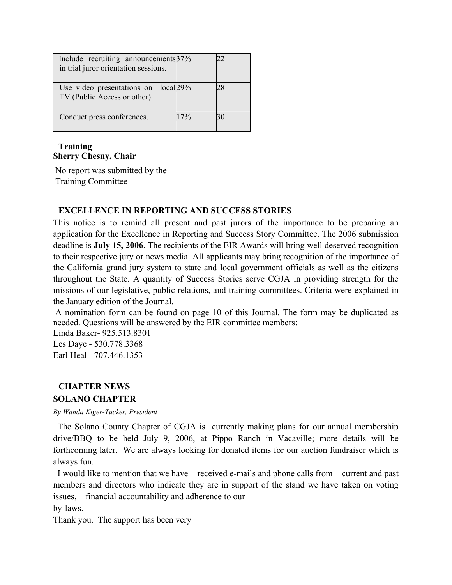<span id="page-5-0"></span>

| Include recruiting announcements 37%<br>in trial juror orientation sessions. |     |    |
|------------------------------------------------------------------------------|-----|----|
|                                                                              |     |    |
| Use video presentations on local 29%<br>TV (Public Access or other)          |     |    |
| Conduct press conferences.                                                   | 17% | 30 |

### **Training Sherry Chesny, Chair**

 No report was submitted by the Training Committee

### **EXCELLENCE IN REPORTING AND SUCCESS STORIES**

This notice is to remind all present and past jurors of the importance to be preparing an application for the Excellence in Reporting and Success Story Committee. The 2006 submission deadline is **July 15, 2006**. The recipients of the EIR Awards will bring well deserved recognition to their respective jury or news media. All applicants may bring recognition of the importance of the California grand jury system to state and local government officials as well as the citizens throughout the State. A quantity of Success Stories serve CGJA in providing strength for the missions of our legislative, public relations, and training committees. Criteria were explained in the January edition of the Journal.

 A nomination form can be found on page 10 of this Journal. The form may be duplicated as needed. Questions will be answered by the EIR committee members:

Linda Baker- 925.513.8301 Les Daye - 530.778.3368 Earl Heal - 707.446.1353

# **CHAPTER NEWS**

**SOLANO CHAPTER** *By Wanda Kiger-Tucker, President*

 The Solano County Chapter of CGJA is currently making plans for our annual membership drive/BBQ to be held July 9, 2006, at Pippo Ranch in Vacaville; more details will be forthcoming later. We are always looking for donated items for our auction fundraiser which is always fun.

 I would like to mention that we have received e-mails and phone calls from current and past members and directors who indicate they are in support of the stand we have taken on voting issues, financial accountability and adherence to our

by-laws.

Thank you. The support has been very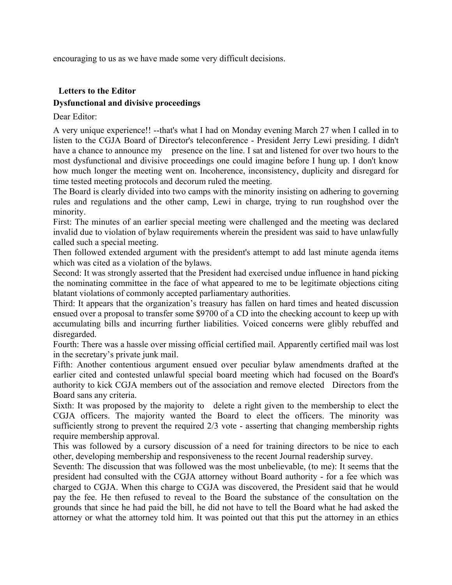<span id="page-6-0"></span>encouraging to us as we have made some very difficult decisions.

### **Letters to the Editor Dysfunctional and divisive proceedings**

Dear Editor:

A very unique experience!! --that's what I had on Monday evening March 27 when I called in to listen to the CGJA Board of Director's teleconference - President Jerry Lewi presiding. I didn't have a chance to announce my presence on the line. I sat and listened for over two hours to the most dysfunctional and divisive proceedings one could imagine before I hung up. I don't know how much longer the meeting went on. Incoherence, inconsistency, duplicity and disregard for time tested meeting protocols and decorum ruled the meeting.

The Board is clearly divided into two camps with the minority insisting on adhering to governing rules and regulations and the other camp, Lewi in charge, trying to run roughshod over the minority.

First: The minutes of an earlier special meeting were challenged and the meeting was declared invalid due to violation of bylaw requirements wherein the president was said to have unlawfully called such a special meeting.

Then followed extended argument with the president's attempt to add last minute agenda items which was cited as a violation of the bylaws.

Second: It was strongly asserted that the President had exercised undue influence in hand picking the nominating committee in the face of what appeared to me to be legitimate objections citing blatant violations of commonly accepted parliamentary authorities.

Third: It appears that the organization's treasury has fallen on hard times and heated discussion ensued over a proposal to transfer some \$9700 of a CD into the checking account to keep up with accumulating bills and incurring further liabilities. Voiced concerns were glibly rebuffed and disregarded.

Fourth: There was a hassle over missing official certified mail. Apparently certified mail was lost in the secretary's private junk mail.

Fifth: Another contentious argument ensued over peculiar bylaw amendments drafted at the earlier cited and contested unlawful special board meeting which had focused on the Board's authority to kick CGJA members out of the association and remove elected Directors from the Board sans any criteria.

Sixth: It was proposed by the majority to delete a right given to the membership to elect the CGJA officers. The majority wanted the Board to elect the officers. The minority was sufficiently strong to prevent the required 2/3 vote - asserting that changing membership rights require membership approval.

This was followed by a cursory discussion of a need for training directors to be nice to each other, developing membership and responsiveness to the recent Journal readership survey.

Seventh: The discussion that was followed was the most unbelievable, (to me): It seems that the president had consulted with the CGJA attorney without Board authority - for a fee which was charged to CGJA. When this charge to CGJA was discovered, the President said that he would pay the fee. He then refused to reveal to the Board the substance of the consultation on the grounds that since he had paid the bill, he did not have to tell the Board what he had asked the attorney or what the attorney told him. It was pointed out that this put the attorney in an ethics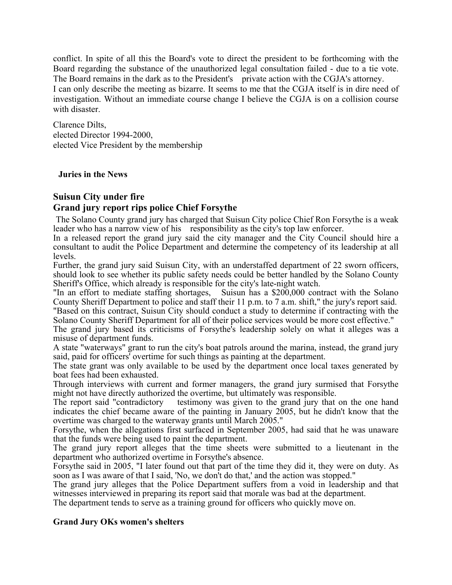<span id="page-7-0"></span>conflict. In spite of all this the Board's vote to direct the president to be forthcoming with the Board regarding the substance of the unauthorized legal consultation failed - due to a tie vote. The Board remains in the dark as to the President's private action with the CGJA's attorney. I can only describe the meeting as bizarre. It seems to me that the CGJA itself is in dire need of investigation. Without an immediate course change I believe the CGJA is on a collision course with disaster.

Clarence Dilts, elected Director 1994-2000, elected Vice President by the membership

### **Juries in the News**

## **Suisun City under fire**

### **Grand jury report rips police Chief Forsythe**

 The Solano County grand jury has charged that Suisun City police Chief Ron Forsythe is a weak leader who has a narrow view of his responsibility as the city's top law enforcer.

In a released report the grand jury said the city manager and the City Council should hire a consultant to audit the Police Department and determine the competency of its leadership at all levels.

Further, the grand jury said Suisun City, with an understaffed department of 22 sworn officers, should look to see whether its public safety needs could be better handled by the Solano County Sheriff's Office, which already is responsible for the city's late-night watch.

"In an effort to mediate staffing shortages, Suisun has a \$200,000 contract with the Solano County Sheriff Department to police and staff their 11 p.m. to 7 a.m. shift," the jury's report said. "Based on this contract, Suisun City should conduct a study to determine if contracting with the Solano County Sheriff Department for all of their police services would be more cost effective."

The grand jury based its criticisms of Forsythe's leadership solely on what it alleges was a misuse of department funds.

A state "waterways" grant to run the city's boat patrols around the marina, instead, the grand jury said, paid for officers' overtime for such things as painting at the department.

The state grant was only available to be used by the department once local taxes generated by boat fees had been exhausted.

Through interviews with current and former managers, the grand jury surmised that Forsythe

might not have directly authorized the overtime, but ultimately was responsible.<br>The report said "contradictory testimony was given to the grand jury that testimony was given to the grand jury that on the one hand indicates the chief became aware of the painting in January 2005, but he didn't know that the overtime was charged to the waterway grants until March 2005."

Forsythe, when the allegations first surfaced in September 2005, had said that he was unaware that the funds were being used to paint the department.

The grand jury report alleges that the time sheets were submitted to a lieutenant in the department who authorized overtime in Forsythe's absence.

Forsythe said in 2005, "I later found out that part of the time they did it, they were on duty. As soon as I was aware of that I said, 'No, we don't do that,' and the action was stopped."

The grand jury alleges that the Police Department suffers from a void in leadership and that witnesses interviewed in preparing its report said that morale was bad at the department.

The department tends to serve as a training ground for officers who quickly move on.

### **Grand Jury OKs women's shelters**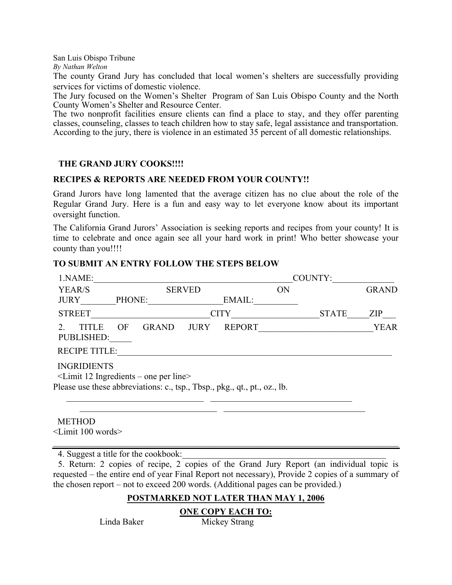<span id="page-8-0"></span>San Luis Obispo Tribune

*By Nathan Welton*

The county Grand Jury has concluded that local women's shelters are successfully providing services for victims of domestic violence.

The Jury focused on the Women's Shelter Program of San Luis Obispo County and the North County Women's Shelter and Resource Center.

The two nonprofit facilities ensure clients can find a place to stay, and they offer parenting classes, counseling, classes to teach children how to stay safe, legal assistance and transportation. According to the jury, there is violence in an estimated 35 percent of all domestic relationships.

### **THE GRAND JURY COOKS!!!!**

### **RECIPES & REPORTS ARE NEEDED FROM YOUR COUNTY!!**

Grand Jurors have long lamented that the average citizen has no clue about the role of the Regular Grand Jury. Here is a fun and easy way to let everyone know about its important oversight function.

The California Grand Jurors' Association is seeking reports and recipes from your county! It is time to celebrate and once again see all your hard work in print! Who better showcase your county than you!!!!

| 1.NAME:                                                           |                                                                                                                         | COUNTY:       |               |           |              |              |
|-------------------------------------------------------------------|-------------------------------------------------------------------------------------------------------------------------|---------------|---------------|-----------|--------------|--------------|
| YEAR/S                                                            |                                                                                                                         | <b>SERVED</b> |               | <b>ON</b> |              | <b>GRAND</b> |
| <b>JURY</b>                                                       | PHONE:                                                                                                                  |               | EMAIL:        |           |              |              |
| <b>STREET</b>                                                     |                                                                                                                         |               | <b>CITY</b>   |           | <b>STATE</b> | <b>ZIP</b>   |
| <b>TITLE</b><br>$2^{\circ}$<br>PUBLISHED:<br><b>RECIPE TITLE:</b> | OF<br>GRAND                                                                                                             | <b>JURY</b>   | <b>REPORT</b> |           |              | <b>YEAR</b>  |
| <b>INGRIDIENTS</b>                                                | $\le$ Limit 12 Ingredients – one per line><br>Please use these abbreviations: c., tsp., Tbsp., pkg., qt., pt., oz., lb. |               |               |           |              |              |
| <b>METHOD</b><br>$\le$ Limit 100 words $>$                        |                                                                                                                         |               |               |           |              |              |

### **TO SUBMIT AN ENTRY FOLLOW THE STEPS BELOW**

4. Suggest a title for the cookbook:

 5. Return: 2 copies of recipe, 2 copies of the Grand Jury Report (an individual topic is requested – the entire end of year Final Report not necessary), Provide 2 copies of a summary of the chosen report – not to exceed 200 words. (Additional pages can be provided.)

### **POSTMARKED NOT LATER THAN MAY 1, 2006**

**ONE COPY EACH TO:**

Linda Baker Mickey Strang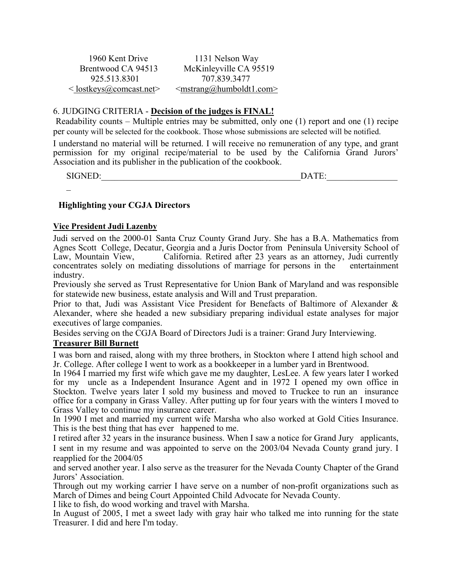1960 Kent Drive 1131 Nelson Way

<span id="page-9-0"></span>Brentwood CA 94513 McKinleyville CA 95519 925.513.8301 707.839.3477  $\leq$ lostkeys@comcast.net>  $\leq$ mstrang@humboldt1.com>

### 6. JUDGING CRITERIA - **Decision of the judges is FINAL!**

Readability counts – Multiple entries may be submitted, only one (1) report and one (1) recipe per county will be selected for the cookbook. Those whose submissions are selected will be notified.

I understand no material will be returned. I will receive no remuneration of any type, and grant permission for my original recipe/material to be used by the California Grand Jurors' Association and its publisher in the publication of the cookbook.

SIGNED:\_\_\_\_\_\_\_\_\_\_\_\_\_\_\_\_\_\_\_\_\_\_\_\_\_\_\_\_\_\_\_\_\_\_\_\_\_\_\_\_\_\_\_\_\_DATE:\_\_\_\_\_\_\_\_\_\_\_\_\_\_\_\_

 $\mathbf{r}$ 

### **Highlighting your CGJA Directors**

### **Vice President Judi Lazenby**

Judi served on the 2000-01 Santa Cruz County Grand Jury. She has a B.A. Mathematics from Agnes Scott College, Decatur, Georgia and a Juris Doctor from Peninsula University School of Law, Mountain View, California. Retired after 23 years as an attorney, Judi currently California. Retired after 23 years as an attorney, Judi currently concentrates solely on mediating dissolutions of marriage for persons in the entertainment industry.

Previously she served as Trust Representative for Union Bank of Maryland and was responsible for statewide new business, estate analysis and Will and Trust preparation.

Prior to that, Judi was Assistant Vice President for Benefacts of Baltimore of Alexander & Alexander, where she headed a new subsidiary preparing individual estate analyses for major executives of large companies.

Besides serving on the CGJA Board of Directors Judi is a trainer: Grand Jury Interviewing.

### **Treasurer Bill Burnett**

I was born and raised, along with my three brothers, in Stockton where I attend high school and Jr. College. After college I went to work as a bookkeeper in a lumber yard in Brentwood.

In 1964 I married my first wife which gave me my daughter, LesLee. A few years later I worked for my uncle as a Independent Insurance Agent and in 1972 I opened my own office in Stockton. Twelve years later I sold my business and moved to Truckee to run an insurance office for a company in Grass Valley. After putting up for four years with the winters I moved to Grass Valley to continue my insurance career.

In 1990 I met and married my current wife Marsha who also worked at Gold Cities Insurance. This is the best thing that has ever happened to me.

I retired after 32 years in the insurance business. When I saw a notice for Grand Jury applicants, I sent in my resume and was appointed to serve on the 2003/04 Nevada County grand jury. I reapplied for the 2004/05

and served another year. I also serve as the treasurer for the Nevada County Chapter of the Grand Jurors' Association.

Through out my working carrier I have serve on a number of non-profit organizations such as March of Dimes and being Court Appointed Child Advocate for Nevada County.

I like to fish, do wood working and travel with Marsha.

In August of 2005, I met a sweet lady with gray hair who talked me into running for the state Treasurer. I did and here I'm today.